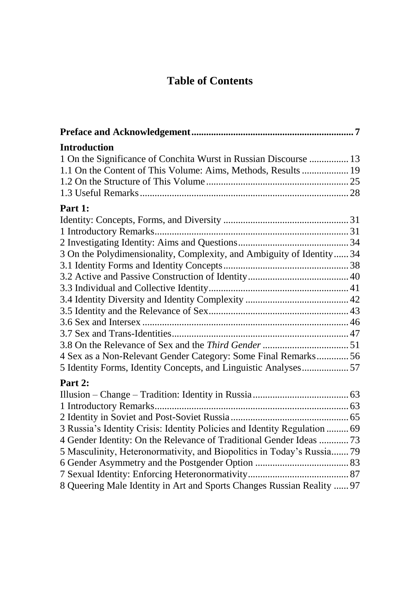## **Table of Contents**

| <b>Introduction</b>                                                       |  |
|---------------------------------------------------------------------------|--|
| 1 On the Significance of Conchita Wurst in Russian Discourse  13          |  |
| 1.1 On the Content of This Volume: Aims, Methods, Results  19             |  |
|                                                                           |  |
|                                                                           |  |
| Part 1:                                                                   |  |
|                                                                           |  |
|                                                                           |  |
|                                                                           |  |
| 3 On the Polydimensionality, Complexity, and Ambiguity of Identity 34     |  |
|                                                                           |  |
|                                                                           |  |
|                                                                           |  |
|                                                                           |  |
|                                                                           |  |
|                                                                           |  |
|                                                                           |  |
|                                                                           |  |
| 4 Sex as a Non-Relevant Gender Category: Some Final Remarks56             |  |
| 5 Identity Forms, Identity Concepts, and Linguistic Analyses57            |  |
| Part 2:                                                                   |  |
|                                                                           |  |
|                                                                           |  |
|                                                                           |  |
| 3 Russia's Identity Crisis: Identity Policies and Identity Regulation  69 |  |
| 4 Gender Identity: On the Relevance of Traditional Gender Ideas  73       |  |
| 5 Masculinity, Heteronormativity, and Biopolitics in Today's Russia 79    |  |
|                                                                           |  |
|                                                                           |  |
| 8 Queering Male Identity in Art and Sports Changes Russian Reality  97    |  |